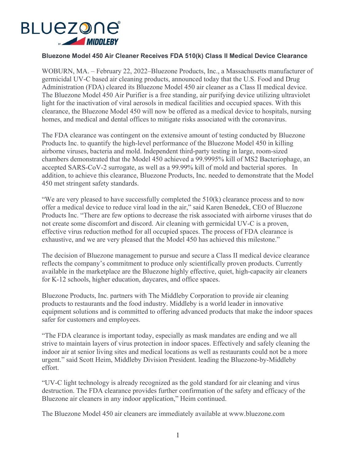

## **Bluezone Model 450 Air Cleaner Receives FDA 510(k) Class II Medical Device Clearance**

WOBURN, MA. – February 22, 2022–Bluezone Products, Inc., a Massachusetts manufacturer of germicidal UV-C based air cleaning products, announced today that the U.S. Food and Drug Administration (FDA) cleared its Bluezone Model 450 air cleaner as a Class II medical device. The Bluezone Model 450 Air Purifier is a free standing, air purifying device utilizing ultraviolet light for the inactivation of viral aerosols in medical facilities and occupied spaces. With this clearance, the Bluezone Model 450 will now be offered as a medical device to hospitals, nursing homes, and medical and dental offices to mitigate risks associated with the coronavirus.

The FDA clearance was contingent on the extensive amount of testing conducted by Bluezone Products Inc. to quantify the high-level performance of the Bluezone Model 450 in killing airborne viruses, bacteria and mold. Independent third-party testing in large, room-sized chambers demonstrated that the Model 450 achieved a 99.9995% kill of MS2 Bacteriophage, an accepted SARS-CoV-2 surrogate, as well as a 99.99% kill of mold and bacterial spores. In addition, to achieve this clearance, Bluezone Products, Inc. needed to demonstrate that the Model 450 met stringent safety standards.

"We are very pleased to have successfully completed the 510(k) clearance process and to now offer a medical device to reduce viral load in the air," said Karen Benedek, CEO of Bluezone Products Inc. "There are few options to decrease the risk associated with airborne viruses that do not create some discomfort and discord. Air cleaning with germicidal UV-C is a proven, effective virus reduction method for all occupied spaces. The process of FDA clearance is exhaustive, and we are very pleased that the Model 450 has achieved this milestone."

The decision of Bluezone management to pursue and secure a Class II medical device clearance reflects the company's commitment to produce only scientifically proven products. Currently available in the marketplace are the Bluezone highly effective, quiet, high-capacity air cleaners for K-12 schools, higher education, daycares, and office spaces.

Bluezone Products, Inc. partners with The Middleby Corporation to provide air cleaning products to restaurants and the food industry. Middleby is a world leader in innovative equipment solutions and is committed to offering advanced products that make the indoor spaces safer for customers and employees.

"The FDA clearance is important today, especially as mask mandates are ending and we all strive to maintain layers of virus protection in indoor spaces. Effectively and safely cleaning the indoor air at senior living sites and medical locations as well as restaurants could not be a more urgent." said Scott Heim, Middleby Division President. leading the Bluezone-by-Middleby effort.

"UV-C light technology is already recognized as the gold standard for air cleaning and virus destruction. The FDA clearance provides further confirmation of the safety and efficacy of the Bluezone air cleaners in any indoor application," Heim continued.

The Bluezone Model 450 air cleaners are immediately available at www.bluezone.com